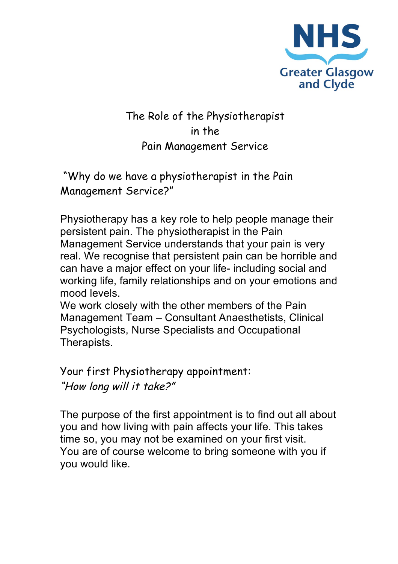

## The Role of the Physiotherapist in the Pain Management Service

"Why do we have a physiotherapist in the Pain Management Service?"

Physiotherapy has a key role to help people manage their persistent pain. The physiotherapist in the Pain Management Service understands that your pain is very real. We recognise that persistent pain can be horrible and can have a major effect on your life- including social and working life, family relationships and on your emotions and mood levels.

We work closely with the other members of the Pain Management Team – Consultant Anaesthetists, Clinical Psychologists, Nurse Specialists and Occupational Therapists.

Your first Physiotherapy appointment: "How long will it take?"

The purpose of the first appointment is to find out all about you and how living with pain affects your life. This takes time so, you may not be examined on your first visit. You are of course welcome to bring someone with you if you would like.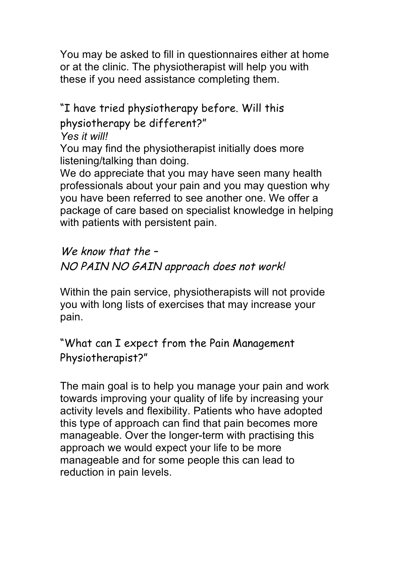You may be asked to fill in questionnaires either at home or at the clinic. The physiotherapist will help you with these if you need assistance completing them.

"I have tried physiotherapy before. Will this physiotherapy be different?"

*Yes it will!*

You may find the physiotherapist initially does more listening/talking than doing.

We do appreciate that you may have seen many health professionals about your pain and you may question why you have been referred to see another one. We offer a package of care based on specialist knowledge in helping with patients with persistent pain.

We know that the -NO PAIN NO GAIN approach does not work!

Within the pain service, physiotherapists will not provide you with long lists of exercises that may increase your pain.

"What can I expect from the Pain Management Physiotherapist?"

The main goal is to help you manage your pain and work towards improving your quality of life by increasing your activity levels and flexibility. Patients who have adopted this type of approach can find that pain becomes more manageable. Over the longer-term with practising this approach we would expect your life to be more manageable and for some people this can lead to reduction in pain levels.